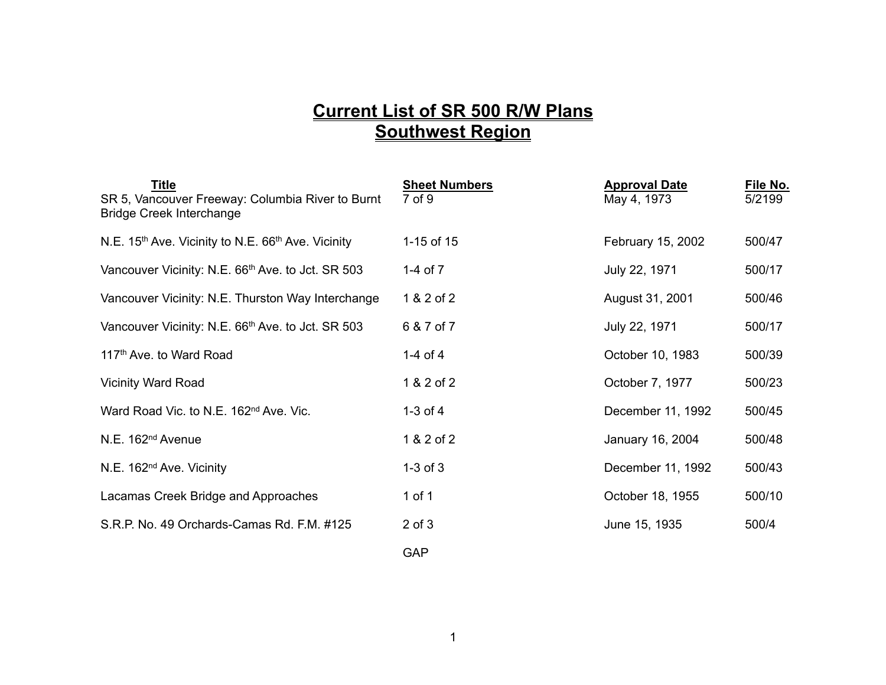## **Current List of SR 500 R/W Plans Southwest Region**

| <b>Title</b><br>SR 5, Vancouver Freeway: Columbia River to Burnt<br><b>Bridge Creek Interchange</b> | <b>Sheet Numbers</b><br>7 of 9 | <b>Approval Date</b><br>May 4, 1973 | File No.<br>5/2199 |
|-----------------------------------------------------------------------------------------------------|--------------------------------|-------------------------------------|--------------------|
| N.E. 15 <sup>th</sup> Ave. Vicinity to N.E. 66 <sup>th</sup> Ave. Vicinity                          | 1-15 of 15                     | February 15, 2002                   | 500/47             |
| Vancouver Vicinity: N.E. 66 <sup>th</sup> Ave. to Jct. SR 503                                       | 1-4 of $7$                     | July 22, 1971                       | 500/17             |
| Vancouver Vicinity: N.E. Thurston Way Interchange                                                   | 1 & 2 of 2                     | August 31, 2001                     | 500/46             |
| Vancouver Vicinity: N.E. 66 <sup>th</sup> Ave. to Jct. SR 503                                       | 6 & 7 of 7                     | July 22, 1971                       | 500/17             |
| 117 <sup>th</sup> Ave. to Ward Road                                                                 | 1-4 of 4                       | October 10, 1983                    | 500/39             |
| <b>Vicinity Ward Road</b>                                                                           | 1 & 2 of 2                     | October 7, 1977                     | 500/23             |
| Ward Road Vic. to N.E. 162 <sup>nd</sup> Ave. Vic.                                                  | $1-3$ of $4$                   | December 11, 1992                   | 500/45             |
| N.E. 162 <sup>nd</sup> Avenue                                                                       | 1 & 2 of 2                     | January 16, 2004                    | 500/48             |
| N.E. 162 <sup>nd</sup> Ave. Vicinity                                                                | $1-3$ of $3$                   | December 11, 1992                   | 500/43             |
| Lacamas Creek Bridge and Approaches                                                                 | 1 of 1                         | October 18, 1955                    | 500/10             |
| S.R.P. No. 49 Orchards-Camas Rd. F.M. #125                                                          | $2$ of $3$                     | June 15, 1935                       | 500/4              |
|                                                                                                     | <b>GAP</b>                     |                                     |                    |